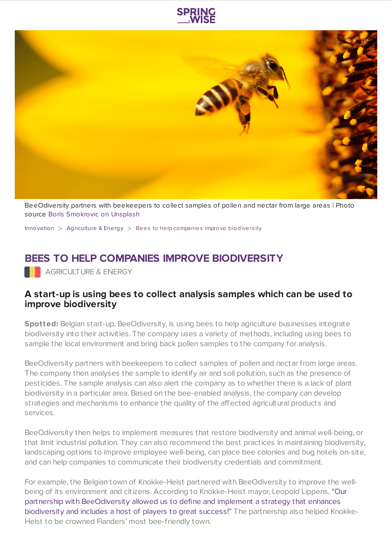



BeeOdiversity partners with beekeepers to collect samples of pollen and nectar from large areas | Photo source Boris [Smokrovic](https://www.springwise.com/sustainability-innovation/agriculture-energy/unsplash.com) on Unsplash

[Innovation](https://www.springwise.com/search?type=innovation)  $>$  [Agriculture](https://www.springwise.com/search?type=innovation§or=agriculture-energy) & Energy  $>$  Bees to help companies improve biodiversity

## **BEES TO HELP COMPANIES IMPROVE BIODIVERSITY**

**AGRICULTURE & ENERGY** 

## **A start-up is using bees to collect analysis samples which can be used to improve biodiversity**

**Spotted:** Belgian start-up, BeeOdiversity, is using bees to help agriculture businesses integrate biodiversity into their activities. The company uses a variety of methods, including using bees to sample the local environment and bring back pollen samples to the company for analysis.

BeeOdiversity partners with beekeepers to collect samples of pollen and nectar from large areas. The company then analyses the sample to identify air and soil pollution, such as the presence of pesticides. The sample analysis can also alert the company as to whether there is a lack of plant biodiversity in a particular area. Based on the bee-enabled analysis, the company can develop strategies and mechanisms to enhance the quality of the affected agricultural products and services.

BeeOdiversity then helps to implement measures that restore biodiversity and animal well-being, or that limit industrial pollution. They can also recommend the best practices in maintaining biodiversity, landscaping options to improve employee well-being, can place bee colonies and bug hotels on-site, and can help companies to communicate their biodiversity credentials and commitment.

For example, the Belgian town of Knokke-Heist partnered with BeeOdiversity to improve the wellbeing of its environment and citizens. According to Knokke-Heist mayor, Leopold Lippens, "Our partnership with [BeeOdiversity](https://www.foodnavigator.com/Article/2019/07/08/From-hive-AI-to-using-bees-as-drones-Biodiversity-loss-drives-innovation-buzz) allowed us to define and implement a strategy that enhances biodiversity and includes a host of players to great success!" The partnership also helped Knokke-Heist to be crowned Flanders' most bee-friendly town.